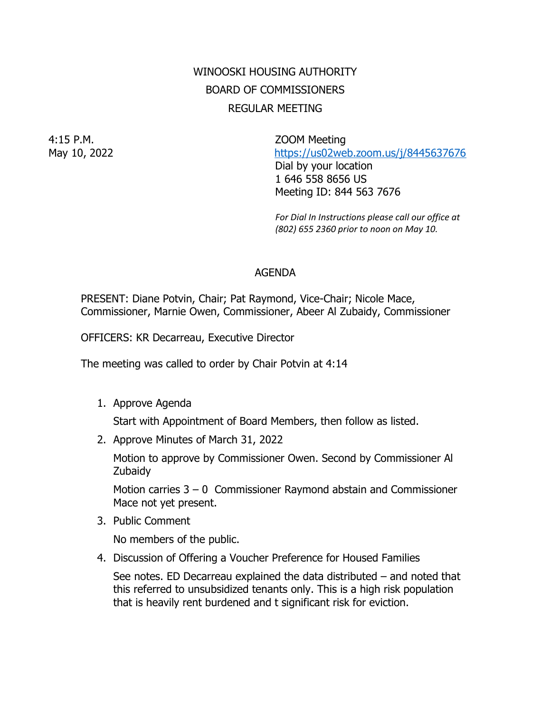## WINOOSKI HOUSING AUTHORITY BOARD OF COMMISSIONERS REGULAR MEETING

4:15 P.M. ZOOM Meeting May 10, 2022 https://us02web.zoom.us/j/8445637676 Dial by your location 1 646 558 8656 US Meeting ID: 844 563 7676

> For Dial In Instructions please call our office at (802) 655 2360 prior to noon on May 10.

## AGENDA

PRESENT: Diane Potvin, Chair; Pat Raymond, Vice-Chair; Nicole Mace, Commissioner, Marnie Owen, Commissioner, Abeer Al Zubaidy, Commissioner

OFFICERS: KR Decarreau, Executive Director

The meeting was called to order by Chair Potvin at 4:14

1. Approve Agenda

Start with Appointment of Board Members, then follow as listed.

2. Approve Minutes of March 31, 2022

Motion to approve by Commissioner Owen. Second by Commissioner Al **Zubaidy** 

Motion carries 3 – 0 Commissioner Raymond abstain and Commissioner Mace not yet present.

3. Public Comment

No members of the public.

4. Discussion of Offering a Voucher Preference for Housed Families

See notes. ED Decarreau explained the data distributed – and noted that this referred to unsubsidized tenants only. This is a high risk population that is heavily rent burdened and t significant risk for eviction.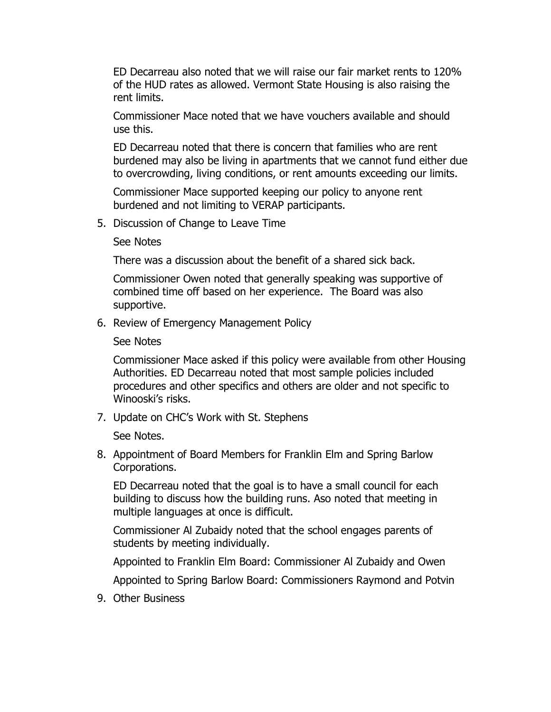ED Decarreau also noted that we will raise our fair market rents to 120% of the HUD rates as allowed. Vermont State Housing is also raising the rent limits.

Commissioner Mace noted that we have vouchers available and should use this.

ED Decarreau noted that there is concern that families who are rent burdened may also be living in apartments that we cannot fund either due to overcrowding, living conditions, or rent amounts exceeding our limits.

Commissioner Mace supported keeping our policy to anyone rent burdened and not limiting to VERAP participants.

5. Discussion of Change to Leave Time

See Notes

There was a discussion about the benefit of a shared sick back.

Commissioner Owen noted that generally speaking was supportive of combined time off based on her experience. The Board was also supportive.

6. Review of Emergency Management Policy

See Notes

Commissioner Mace asked if this policy were available from other Housing Authorities. ED Decarreau noted that most sample policies included procedures and other specifics and others are older and not specific to Winooski's risks.

7. Update on CHC's Work with St. Stephens

See Notes.

8. Appointment of Board Members for Franklin Elm and Spring Barlow Corporations.

ED Decarreau noted that the goal is to have a small council for each building to discuss how the building runs. Aso noted that meeting in multiple languages at once is difficult.

Commissioner Al Zubaidy noted that the school engages parents of students by meeting individually.

Appointed to Franklin Elm Board: Commissioner Al Zubaidy and Owen

Appointed to Spring Barlow Board: Commissioners Raymond and Potvin

9. Other Business